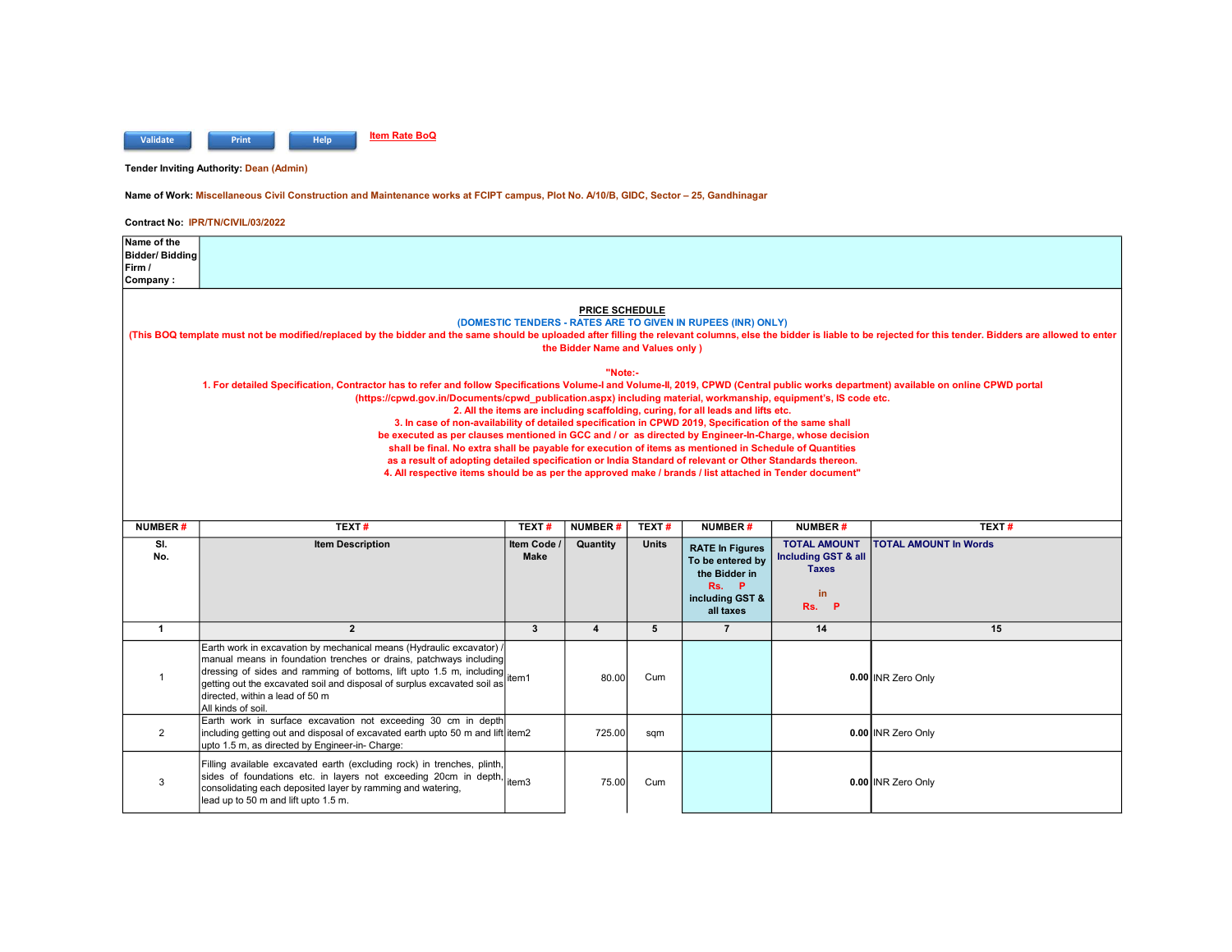

Tender Inviting Authority: Dean (Admin)

Name of Work: Miscellaneous Civil Construction and Maintenance works at FCIPT campus, Plot No. A/10/B, GIDC, Sector – 25, Gandhinagar

| Name of the                                                                                                                                                                                                                                                                                                                                            |                                                                                                                                                                                                                         |              |                         |              |                                                                                  |                                |                              |  |  |
|--------------------------------------------------------------------------------------------------------------------------------------------------------------------------------------------------------------------------------------------------------------------------------------------------------------------------------------------------------|-------------------------------------------------------------------------------------------------------------------------------------------------------------------------------------------------------------------------|--------------|-------------------------|--------------|----------------------------------------------------------------------------------|--------------------------------|------------------------------|--|--|
| Bidder/ Bidding                                                                                                                                                                                                                                                                                                                                        |                                                                                                                                                                                                                         |              |                         |              |                                                                                  |                                |                              |  |  |
| Firm /<br>Company:                                                                                                                                                                                                                                                                                                                                     |                                                                                                                                                                                                                         |              |                         |              |                                                                                  |                                |                              |  |  |
|                                                                                                                                                                                                                                                                                                                                                        |                                                                                                                                                                                                                         |              |                         |              |                                                                                  |                                |                              |  |  |
| <b>PRICE SCHEDULE</b><br>(DOMESTIC TENDERS - RATES ARE TO GIVEN IN RUPEES (INR) ONLY)<br>(This BOQ template must not be modified/replaced by the bidder and the same should be uploaded after filling the relevant columns, else the bidder is liable to be rejected for this tender. Bidders are allowed to enter<br>the Bidder Name and Values only) |                                                                                                                                                                                                                         |              |                         |              |                                                                                  |                                |                              |  |  |
|                                                                                                                                                                                                                                                                                                                                                        | 1. For detailed Specification, Contractor has to refer and follow Specifications Volume-I and Volume-II, 2019, CPWD (Central public works department) available on online CPWD portal                                   |              | "Note:-                 |              |                                                                                  |                                |                              |  |  |
|                                                                                                                                                                                                                                                                                                                                                        | (https://cpwd.gov.in/Documents/cpwd_publication.aspx) including material, workmanship, equipment's, IS code etc.                                                                                                        |              |                         |              |                                                                                  |                                |                              |  |  |
|                                                                                                                                                                                                                                                                                                                                                        |                                                                                                                                                                                                                         |              |                         |              | 2. All the items are including scaffolding, curing, for all leads and lifts etc. |                                |                              |  |  |
|                                                                                                                                                                                                                                                                                                                                                        | 3. In case of non-availability of detailed specification in CPWD 2019, Specification of the same shall<br>be executed as per clauses mentioned in GCC and / or as directed by Engineer-In-Charge, whose decision        |              |                         |              |                                                                                  |                                |                              |  |  |
|                                                                                                                                                                                                                                                                                                                                                        | shall be final. No extra shall be payable for execution of items as mentioned in Schedule of Quantities                                                                                                                 |              |                         |              |                                                                                  |                                |                              |  |  |
|                                                                                                                                                                                                                                                                                                                                                        | as a result of adopting detailed specification or India Standard of relevant or Other Standards thereon.                                                                                                                |              |                         |              |                                                                                  |                                |                              |  |  |
|                                                                                                                                                                                                                                                                                                                                                        | 4. All respective items should be as per the approved make / brands / list attached in Tender document"                                                                                                                 |              |                         |              |                                                                                  |                                |                              |  |  |
|                                                                                                                                                                                                                                                                                                                                                        |                                                                                                                                                                                                                         |              |                         |              |                                                                                  |                                |                              |  |  |
|                                                                                                                                                                                                                                                                                                                                                        |                                                                                                                                                                                                                         |              |                         |              |                                                                                  |                                |                              |  |  |
|                                                                                                                                                                                                                                                                                                                                                        |                                                                                                                                                                                                                         |              |                         |              |                                                                                  |                                |                              |  |  |
| <b>NUMBER#</b>                                                                                                                                                                                                                                                                                                                                         | TEXT#                                                                                                                                                                                                                   | TEXT#        | <b>NUMBER#</b>          | TEXT#        | <b>NUMBER#</b>                                                                   | <b>NUMBER#</b>                 | TEXT#                        |  |  |
| SI.                                                                                                                                                                                                                                                                                                                                                    | <b>Item Description</b>                                                                                                                                                                                                 | Item Code    | Quantity                | <b>Units</b> | <b>RATE In Figures</b>                                                           | <b>TOTAL AMOUNT</b>            | <b>TOTAL AMOUNT In Words</b> |  |  |
| No.                                                                                                                                                                                                                                                                                                                                                    |                                                                                                                                                                                                                         | <b>Make</b>  |                         |              | To be entered by                                                                 | <b>Including GST &amp; all</b> |                              |  |  |
|                                                                                                                                                                                                                                                                                                                                                        |                                                                                                                                                                                                                         |              |                         |              | the Bidder in                                                                    | <b>Taxes</b>                   |                              |  |  |
|                                                                                                                                                                                                                                                                                                                                                        |                                                                                                                                                                                                                         |              |                         |              | Rs.<br>P<br>including GST &                                                      | in                             |                              |  |  |
|                                                                                                                                                                                                                                                                                                                                                        |                                                                                                                                                                                                                         |              |                         |              | all taxes                                                                        | <b>P</b><br>Rs.                |                              |  |  |
| $\mathbf{1}$                                                                                                                                                                                                                                                                                                                                           | $\overline{2}$                                                                                                                                                                                                          | $\mathbf{3}$ | $\overline{\mathbf{4}}$ | 5            | $\overline{7}$                                                                   | 14                             | 15                           |  |  |
| $\overline{1}$                                                                                                                                                                                                                                                                                                                                         | Earth work in excavation by mechanical means (Hydraulic excavator) /<br>manual means in foundation trenches or drains, patchways including<br>dressing of sides and ramming of bottoms, lift upto 1.5 m, including tem1 |              | 80.00                   | Cum          |                                                                                  |                                | 0.00 INR Zero Only           |  |  |
|                                                                                                                                                                                                                                                                                                                                                        | getting out the excavated soil and disposal of surplus excavated soil as<br>directed, within a lead of 50 m<br>All kinds of soil.                                                                                       |              |                         |              |                                                                                  |                                |                              |  |  |
| 2                                                                                                                                                                                                                                                                                                                                                      | Earth work in surface excavation not exceeding 30 cm in depth<br>including getting out and disposal of excavated earth upto 50 m and lift item2<br>upto 1.5 m, as directed by Engineer-in- Charge:                      |              | 725.00                  | sqm          |                                                                                  |                                | 0.00 INR Zero Only           |  |  |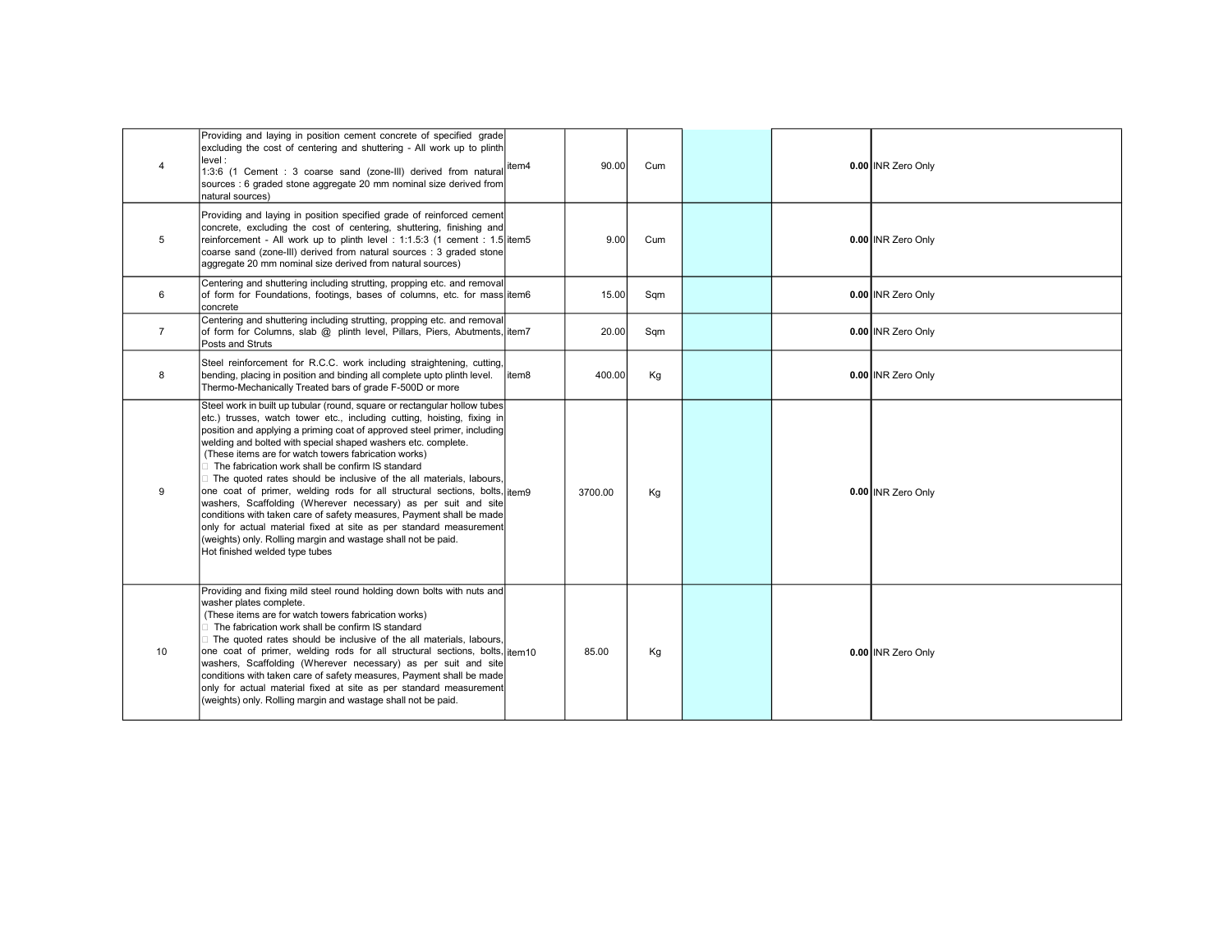| $\overline{4}$ | Providing and laying in position cement concrete of specified grade<br>excluding the cost of centering and shuttering - All work up to plinth<br>level:<br>1:3:6 (1 Cement : 3 coarse sand (zone-III) derived from natural<br>sources : 6 graded stone aggregate 20 mm nominal size derived from<br>natural sources)                                                                                                                                                                                                                                                                                                                                                                                                                                                                                                                                                                        | litem4 | 90.00   | Cum |  | 0.00 INR Zero Only |
|----------------|---------------------------------------------------------------------------------------------------------------------------------------------------------------------------------------------------------------------------------------------------------------------------------------------------------------------------------------------------------------------------------------------------------------------------------------------------------------------------------------------------------------------------------------------------------------------------------------------------------------------------------------------------------------------------------------------------------------------------------------------------------------------------------------------------------------------------------------------------------------------------------------------|--------|---------|-----|--|--------------------|
| 5              | Providing and laying in position specified grade of reinforced cement<br>concrete, excluding the cost of centering, shuttering, finishing and<br>reinforcement - All work up to plinth level : 1:1.5:3 (1 cement : 1.5 item5<br>coarse sand (zone-III) derived from natural sources : 3 graded stone<br>aggregate 20 mm nominal size derived from natural sources)                                                                                                                                                                                                                                                                                                                                                                                                                                                                                                                          |        | 9.00    | Cum |  | 0.00 INR Zero Only |
| 6              | Centering and shuttering including strutting, propping etc. and removal<br>of form for Foundations, footings, bases of columns, etc. for mass item6<br>concrete                                                                                                                                                                                                                                                                                                                                                                                                                                                                                                                                                                                                                                                                                                                             |        | 15.00   | Sqm |  | 0.00 INR Zero Only |
| $\overline{7}$ | Centering and shuttering including strutting, propping etc. and removal<br>of form for Columns, slab @ plinth level, Pillars, Piers, Abutments, litem7<br>Posts and Struts                                                                                                                                                                                                                                                                                                                                                                                                                                                                                                                                                                                                                                                                                                                  |        | 20.00   | Sqm |  | 0.00 INR Zero Only |
| 8              | Steel reinforcement for R.C.C. work including straightening, cutting,<br>bending, placing in position and binding all complete upto plinth level.<br>Thermo-Mechanically Treated bars of grade F-500D or more                                                                                                                                                                                                                                                                                                                                                                                                                                                                                                                                                                                                                                                                               | item8  | 400.00  | Kg  |  | 0.00 INR Zero Only |
| 9              | Steel work in built up tubular (round, square or rectangular hollow tubes)<br>etc.) trusses, watch tower etc., including cutting, hoisting, fixing in<br>position and applying a priming coat of approved steel primer, including<br>welding and bolted with special shaped washers etc. complete.<br>(These items are for watch towers fabrication works)<br>□ The fabrication work shall be confirm IS standard<br>□ The quoted rates should be inclusive of the all materials, labours,<br>one coat of primer, welding rods for all structural sections, bolts, itemg<br>washers, Scaffolding (Wherever necessary) as per suit and site<br>conditions with taken care of safety measures, Payment shall be made<br>only for actual material fixed at site as per standard measurement<br>(weights) only. Rolling margin and wastage shall not be paid.<br>Hot finished welded type tubes |        | 3700.00 | Kg  |  | 0.00 INR Zero Only |
| 10             | Providing and fixing mild steel round holding down bolts with nuts and<br>washer plates complete.<br>(These items are for watch towers fabrication works)<br>□ The fabrication work shall be confirm IS standard<br>$\Box$ The quoted rates should be inclusive of the all materials, labours,<br>one coat of primer, welding rods for all structural sections, bolts, item10<br>washers, Scaffolding (Wherever necessary) as per suit and site<br>conditions with taken care of safety measures, Payment shall be made<br>only for actual material fixed at site as per standard measurement<br>(weights) only. Rolling margin and wastage shall not be paid.                                                                                                                                                                                                                              |        | 85.00   | Kg  |  | 0.00 INR Zero Only |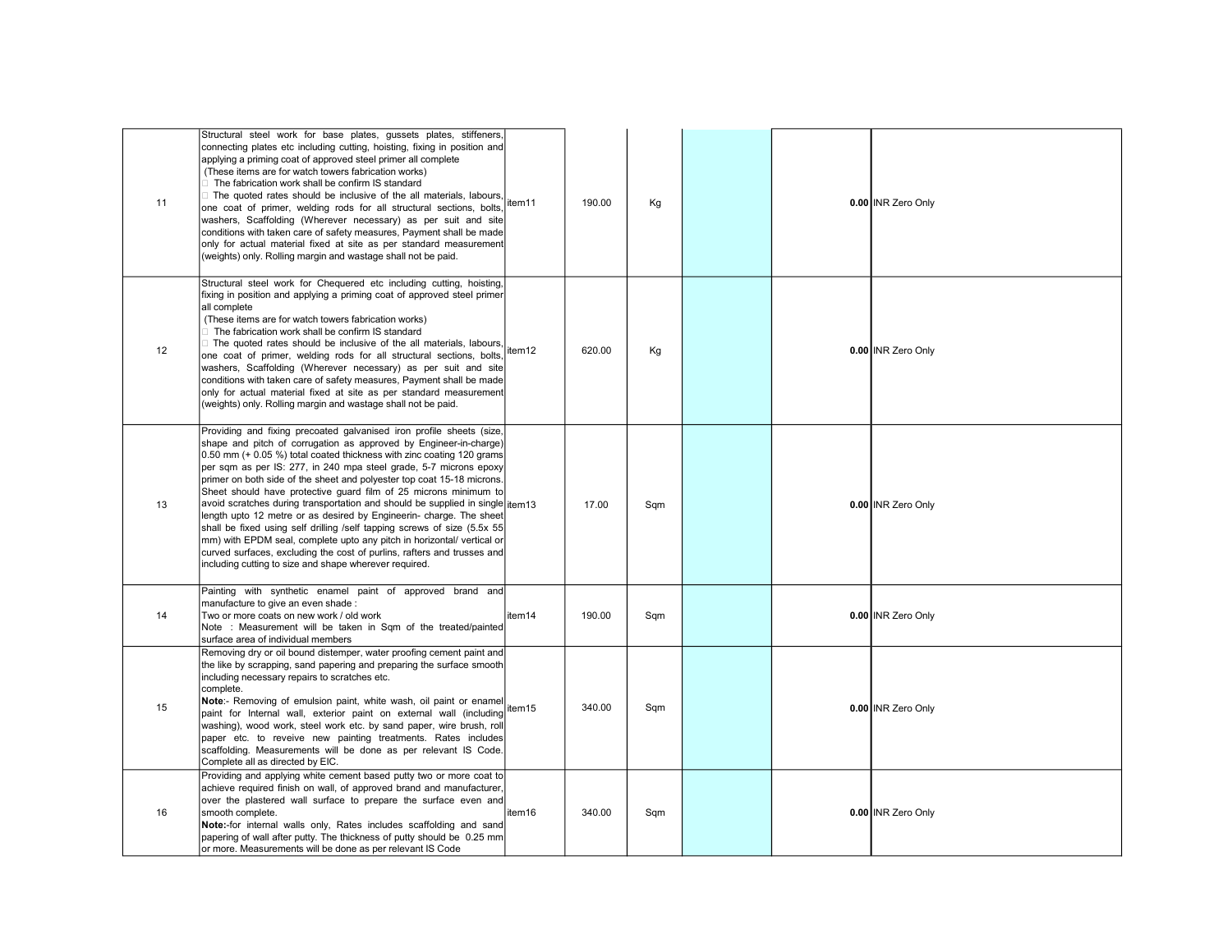| 11 | Structural steel work for base plates, qussets plates, stiffeners,<br>connecting plates etc including cutting, hoisting, fixing in position and<br>applying a priming coat of approved steel primer all complete<br>(These items are for watch towers fabrication works)<br>The fabrication work shall be confirm IS standard<br>The quoted rates should be inclusive of the all materials, labours,<br>one coat of primer, welding rods for all structural sections, bolts,<br>washers, Scaffolding (Wherever necessary) as per suit and site<br>conditions with taken care of safety measures, Payment shall be made<br>only for actual material fixed at site as per standard measurement<br>(weights) only. Rolling margin and wastage shall not be paid.                                                                                                                             | item11 | 190.00 | Kg  |  | 0.00 INR Zero Only |
|----|-------------------------------------------------------------------------------------------------------------------------------------------------------------------------------------------------------------------------------------------------------------------------------------------------------------------------------------------------------------------------------------------------------------------------------------------------------------------------------------------------------------------------------------------------------------------------------------------------------------------------------------------------------------------------------------------------------------------------------------------------------------------------------------------------------------------------------------------------------------------------------------------|--------|--------|-----|--|--------------------|
| 12 | Structural steel work for Chequered etc including cutting, hoisting,<br>fixing in position and applying a priming coat of approved steel primer<br>all complete<br>(These items are for watch towers fabrication works)<br>The fabrication work shall be confirm IS standard<br>□ The quoted rates should be inclusive of the all materials, labours,<br>one coat of primer, welding rods for all structural sections, bolts,<br>washers, Scaffolding (Wherever necessary) as per suit and site<br>conditions with taken care of safety measures, Payment shall be made<br>only for actual material fixed at site as per standard measurement<br>(weights) only. Rolling margin and wastage shall not be paid.                                                                                                                                                                            | item12 | 620.00 | Kg  |  | 0.00 INR Zero Only |
| 13 | Providing and fixing precoated galvanised iron profile sheets (size,<br>shape and pitch of corrugation as approved by Engineer-in-charge)<br>0.50 mm (+ 0.05 %) total coated thickness with zinc coating 120 grams<br>per sqm as per IS: 277, in 240 mpa steel grade, 5-7 microns epoxy<br>primer on both side of the sheet and polyester top coat 15-18 microns.<br>Sheet should have protective guard film of 25 microns minimum to<br>avoid scratches during transportation and should be supplied in single item13<br>length upto 12 metre or as desired by Engineerin- charge. The sheet<br>shall be fixed using self drilling /self tapping screws of size (5.5x 55)<br>mm) with EPDM seal, complete upto any pitch in horizontal/ vertical or<br>curved surfaces, excluding the cost of purlins, rafters and trusses and<br>including cutting to size and shape wherever required. |        | 17.00  | Sqm |  | 0.00 INR Zero Only |
| 14 | Painting with synthetic enamel paint of approved brand and<br>manufacture to give an even shade :<br>Two or more coats on new work / old work<br>Note: Measurement will be taken in Sqm of the treated/painted<br>surface area of individual members                                                                                                                                                                                                                                                                                                                                                                                                                                                                                                                                                                                                                                      | item14 | 190.00 | Sqm |  | 0.00 INR Zero Only |
| 15 | Removing dry or oil bound distemper, water proofing cement paint and<br>the like by scrapping, sand papering and preparing the surface smooth<br>including necessary repairs to scratches etc.<br>complete.<br>Notinghold.<br>Note:- Removing of emulsion paint, white wash, oil paint or enamel<br>paint for Internal wall, exterior paint on external wall (including<br>washing), wood work, steel work etc. by sand paper, wire brush, roll<br>paper etc. to reveive new painting treatments. Rates includes<br>scaffolding. Measurements will be done as per relevant IS Code.<br>Complete all as directed by EIC.                                                                                                                                                                                                                                                                   |        | 340.00 | Sqm |  | 0.00 INR Zero Only |
| 16 | Providing and applying white cement based putty two or more coat to<br>achieve required finish on wall, of approved brand and manufacturer,<br>over the plastered wall surface to prepare the surface even and<br>smooth complete.<br>Note:-for internal walls only, Rates includes scaffolding and sand<br>papering of wall after putty. The thickness of putty should be 0.25 mm<br>or more. Measurements will be done as per relevant IS Code                                                                                                                                                                                                                                                                                                                                                                                                                                          | item16 | 340.00 | Sqm |  | 0.00 INR Zero Only |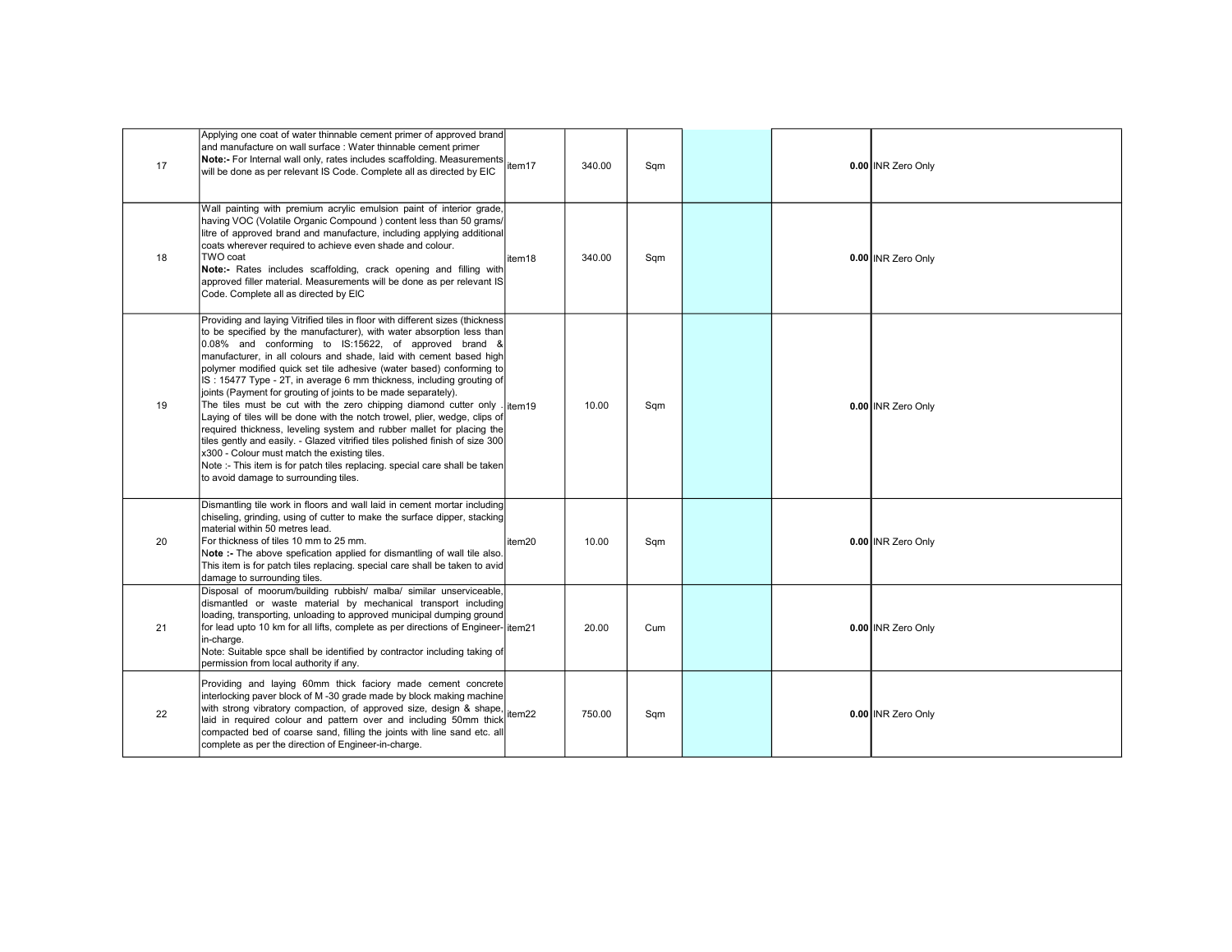| 17 | Applying one coat of water thinnable cement primer of approved brand<br>and manufacture on wall surface : Water thinnable cement primer<br>Note:- For Internal wall only, rates includes scaffolding. Measurements<br>Note:- For Internal wall only, rates includes scaffolding. Measurements<br>will be done as per relevant IS Code. Complete all as directed by EIC                                                                                                                                                                                                                                                                                                                                                                                                                                                                                                                                                                                                                        |                    | 340.00 | Sqm |  | 0.00 INR Zero Only |
|----|-----------------------------------------------------------------------------------------------------------------------------------------------------------------------------------------------------------------------------------------------------------------------------------------------------------------------------------------------------------------------------------------------------------------------------------------------------------------------------------------------------------------------------------------------------------------------------------------------------------------------------------------------------------------------------------------------------------------------------------------------------------------------------------------------------------------------------------------------------------------------------------------------------------------------------------------------------------------------------------------------|--------------------|--------|-----|--|--------------------|
| 18 | Wall painting with premium acrylic emulsion paint of interior grade,<br>having VOC (Volatile Organic Compound) content less than 50 grams/<br>litre of approved brand and manufacture, including applying additional<br>coats wherever required to achieve even shade and colour.<br>TWO coat<br>Note:- Rates includes scaffolding, crack opening and filling with<br>approved filler material. Measurements will be done as per relevant IS<br>Code. Complete all as directed by EIC                                                                                                                                                                                                                                                                                                                                                                                                                                                                                                         | item18             | 340.00 | Sqm |  | 0.00 INR Zero Only |
| 19 | Providing and laying Vitrified tiles in floor with different sizes (thickness<br>to be specified by the manufacturer), with water absorption less than<br>0.08% and conforming to IS:15622, of approved brand &<br>manufacturer, in all colours and shade, laid with cement based high<br>polymer modified quick set tile adhesive (water based) conforming to<br>IS: 15477 Type - 2T, in average 6 mm thickness, including grouting of<br>joints (Payment for grouting of joints to be made separately).<br>The tiles must be cut with the zero chipping diamond cutter only<br>Laying of tiles will be done with the notch trowel, plier, wedge, clips of<br>required thickness, leveling system and rubber mallet for placing the<br>tiles gently and easily. - Glazed vitrified tiles polished finish of size 300<br>x300 - Colour must match the existing tiles.<br>Note :- This item is for patch tiles replacing. special care shall be taken<br>to avoid damage to surrounding tiles. | item <sub>19</sub> | 10.00  | Sqm |  | 0.00 INR Zero Only |
| 20 | Dismantling tile work in floors and wall laid in cement mortar including<br>chiseling, grinding, using of cutter to make the surface dipper, stacking<br>material within 50 metres lead.<br>For thickness of tiles 10 mm to 25 mm.<br>Note :- The above spefication applied for dismantling of wall tile also.<br>This item is for patch tiles replacing. special care shall be taken to avid<br>damage to surrounding tiles.                                                                                                                                                                                                                                                                                                                                                                                                                                                                                                                                                                 | item20             | 10.00  | Sqm |  | 0.00 INR Zero Only |
| 21 | Disposal of moorum/building rubbish/ malba/ similar unserviceable,<br>dismantled or waste material by mechanical transport including<br>loading, transporting, unloading to approved municipal dumping ground<br>for lead upto 10 km for all lifts, complete as per directions of Engineer-litem21<br>in-charge.<br>Note: Suitable spce shall be identified by contractor including taking of<br>permission from local authority if any.                                                                                                                                                                                                                                                                                                                                                                                                                                                                                                                                                      |                    | 20.00  | Cum |  | 0.00 INR Zero Only |
| 22 | Providing and laying 60mm thick faciory made cement concrete<br>interlocking paver block of M -30 grade made by block making machine<br>with strong vibratory compaction, of approved size, design & shape,<br>laid in required colour and pattern over and including 50mm thick<br>compacted bed of coarse sand, filling the joints with line sand etc. all<br>complete as per the direction of Engineer-in-charge.                                                                                                                                                                                                                                                                                                                                                                                                                                                                                                                                                                          | item22             | 750.00 | Sqm |  | 0.00 INR Zero Only |